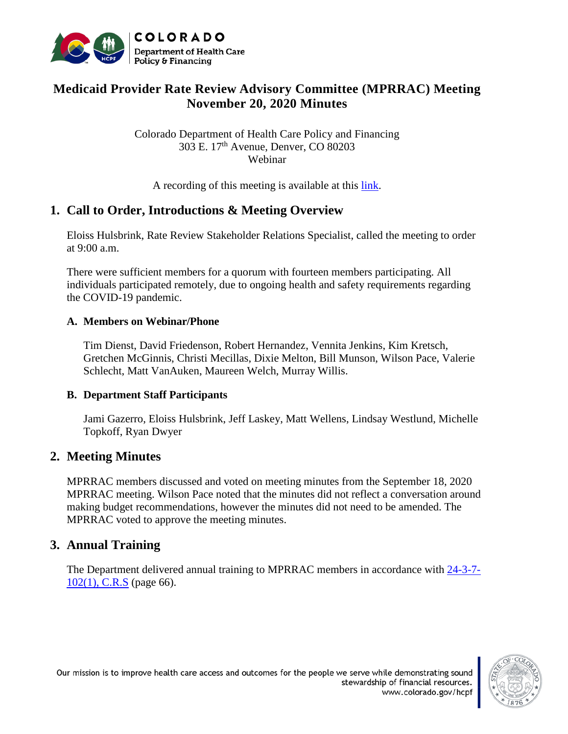

# **Medicaid Provider Rate Review Advisory Committee (MPRRAC) Meeting November 20, 2020 Minutes**

Colorado Department of Health Care Policy and Financing 303 E. 17th Avenue, Denver, CO 80203 Webinar

A recording of this meeting is available at this [link.](https://cohcpf.adobeconnect.com/pywetbzytq0f/)

## **1. Call to Order, Introductions & Meeting Overview**

Eloiss Hulsbrink, Rate Review Stakeholder Relations Specialist, called the meeting to order at 9:00 a.m.

There were sufficient members for a quorum with fourteen members participating. All individuals participated remotely, due to ongoing health and safety requirements regarding the COVID-19 pandemic.

#### **A. Members on Webinar/Phone**

Tim Dienst, David Friedenson, Robert Hernandez, Vennita Jenkins, Kim Kretsch, Gretchen McGinnis, Christi Mecillas, Dixie Melton, Bill Munson, Wilson Pace, Valerie Schlecht, Matt VanAuken, Maureen Welch, Murray Willis.

#### **B. Department Staff Participants**

Jami Gazerro, Eloiss Hulsbrink, Jeff Laskey, Matt Wellens, Lindsay Westlund, Michelle Topkoff, Ryan Dwyer

## **2. Meeting Minutes**

MPRRAC members discussed and voted on meeting minutes from the September 18, 2020 MPRRAC meeting. Wilson Pace noted that the minutes did not reflect a conversation around making budget recommendations, however the minutes did not need to be amended. The MPRRAC voted to approve the meeting minutes.

## **3. Annual Training**

The Department delivered annual training to MPRRAC members in accordance with [24-3-7-](https://leg.colorado.gov/sites/default/files/images/olls/crs2019-title-24.pdf) [102\(1\), C.R.S](https://leg.colorado.gov/sites/default/files/images/olls/crs2019-title-24.pdf) (page 66).

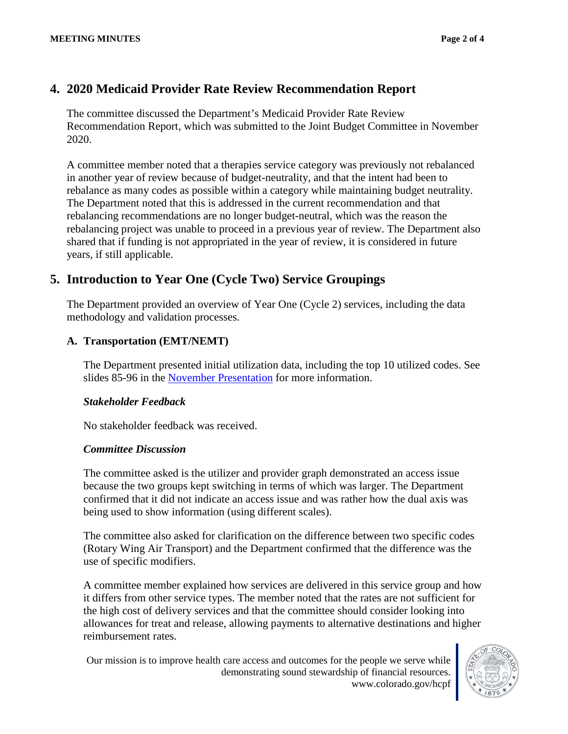# **4. 2020 Medicaid Provider Rate Review Recommendation Report**

The committee discussed the Department's Medicaid Provider Rate Review Recommendation Report, which was submitted to the Joint Budget Committee in November 2020.

A committee member noted that a therapies service category was previously not rebalanced in another year of review because of budget-neutrality, and that the intent had been to rebalance as many codes as possible within a category while maintaining budget neutrality. The Department noted that this is addressed in the current recommendation and that rebalancing recommendations are no longer budget-neutral, which was the reason the rebalancing project was unable to proceed in a previous year of review. The Department also shared that if funding is not appropriated in the year of review, it is considered in future years, if still applicable.

# **5. Introduction to Year One (Cycle Two) Service Groupings**

The Department provided an overview of Year One (Cycle 2) services, including the data methodology and validation processes.

### **A. Transportation (EMT/NEMT)**

The Department presented initial utilization data, including the top 10 utilized codes. See slides 85-96 in the [November Presentation](https://www.colorado.gov/pacific/sites/default/files/MPRRAC%20PresentationSlides_20November2020_v3.pdf) for more information.

#### *Stakeholder Feedback*

No stakeholder feedback was received.

#### *Committee Discussion*

The committee asked is the utilizer and provider graph demonstrated an access issue because the two groups kept switching in terms of which was larger. The Department confirmed that it did not indicate an access issue and was rather how the dual axis was being used to show information (using different scales).

The committee also asked for clarification on the difference between two specific codes (Rotary Wing Air Transport) and the Department confirmed that the difference was the use of specific modifiers.

A committee member explained how services are delivered in this service group and how it differs from other service types. The member noted that the rates are not sufficient for the high cost of delivery services and that the committee should consider looking into allowances for treat and release, allowing payments to alternative destinations and higher reimbursement rates.

Our mission is to improve health care access and outcomes for the people we serve while demonstrating sound stewardship of financial resources. www.colorado.gov/hcpf

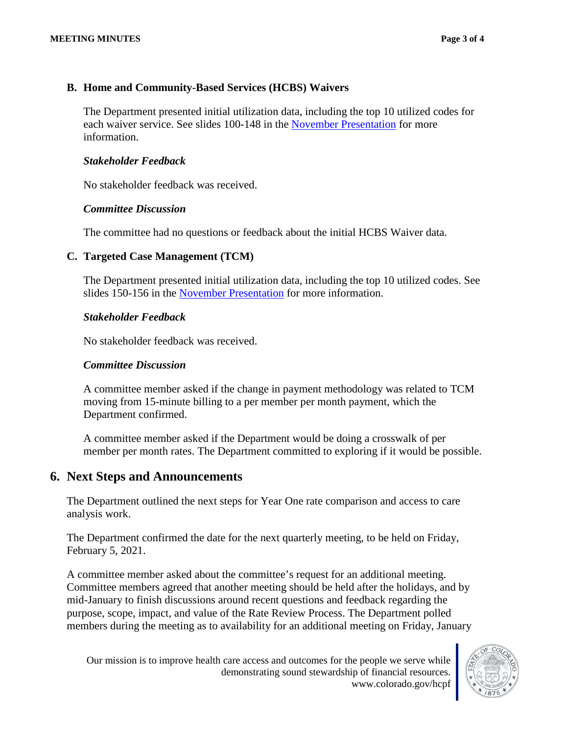#### **B. Home and Community-Based Services (HCBS) Waivers**

The Department presented initial utilization data, including the top 10 utilized codes for each waiver service. See slides 100-148 in the [November Presentation](https://www.colorado.gov/pacific/sites/default/files/MPRRAC%20PresentationSlides_20November2020_v3.pdf) for more information.

#### *Stakeholder Feedback*

No stakeholder feedback was received.

#### *Committee Discussion*

The committee had no questions or feedback about the initial HCBS Waiver data.

#### **C. Targeted Case Management (TCM)**

The Department presented initial utilization data, including the top 10 utilized codes. See slides 150-156 in the [November Presentation](https://www.colorado.gov/pacific/sites/default/files/MPRRAC%20PresentationSlides_20November2020_v3.pdf) for more information.

#### *Stakeholder Feedback*

No stakeholder feedback was received.

#### *Committee Discussion*

A committee member asked if the change in payment methodology was related to TCM moving from 15-minute billing to a per member per month payment, which the Department confirmed.

A committee member asked if the Department would be doing a crosswalk of per member per month rates. The Department committed to exploring if it would be possible.

## **6. Next Steps and Announcements**

The Department outlined the next steps for Year One rate comparison and access to care analysis work.

The Department confirmed the date for the next quarterly meeting, to be held on Friday, February 5, 2021.

A committee member asked about the committee's request for an additional meeting. Committee members agreed that another meeting should be held after the holidays, and by mid-January to finish discussions around recent questions and feedback regarding the purpose, scope, impact, and value of the Rate Review Process. The Department polled members during the meeting as to availability for an additional meeting on Friday, January